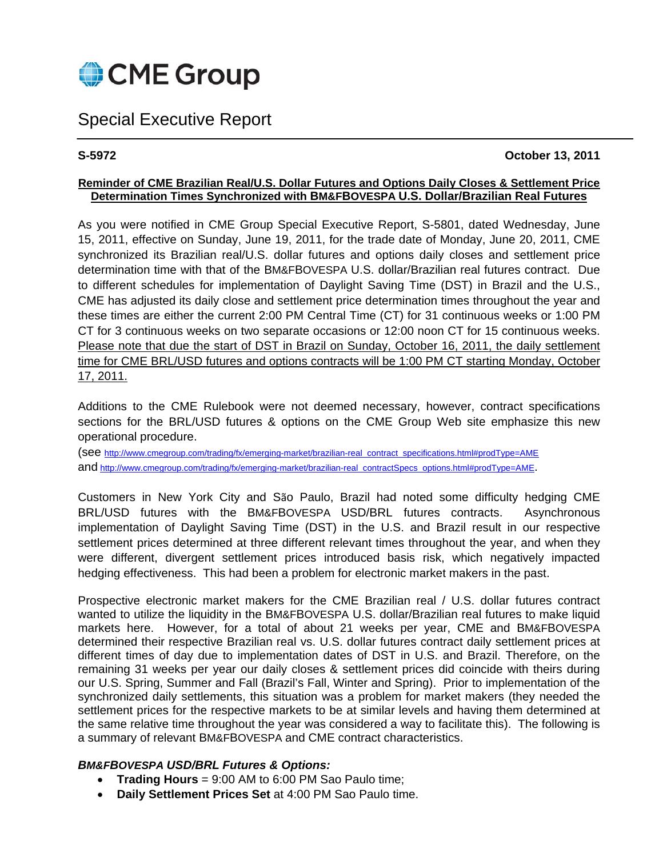

# Special Executive Report

# **S-5972 October 13, 2011**

# **Reminder of CME Brazilian Real/U.S. Dollar Futures and Options Daily Closes & Settlement Price Determination Times Synchronized with BM&FBOVESPA U.S. Dollar/Brazilian Real Futures**

As you were notified in CME Group Special Executive Report, S-5801, dated Wednesday, June 15, 2011, effective on Sunday, June 19, 2011, for the trade date of Monday, June 20, 2011, CME synchronized its Brazilian real/U.S. dollar futures and options daily closes and settlement price determination time with that of the BM&FBOVESPA U.S. dollar/Brazilian real futures contract. Due to different schedules for implementation of Daylight Saving Time (DST) in Brazil and the U.S., CME has adjusted its daily close and settlement price determination times throughout the year and these times are either the current 2:00 PM Central Time (CT) for 31 continuous weeks or 1:00 PM CT for 3 continuous weeks on two separate occasions or 12:00 noon CT for 15 continuous weeks. Please note that due the start of DST in Brazil on Sunday, October 16, 2011, the daily settlement time for CME BRL/USD futures and options contracts will be 1:00 PM CT starting Monday, October 17, 2011.

Additions to the CME Rulebook were not deemed necessary, however, contract specifications sections for the BRL/USD futures & options on the CME Group Web site emphasize this new operational procedure.

(see http://www.cmegroup.com/trading/fx/emerging-market/brazilian-real\_contract\_specifications.html#prodType=AME and http://www.cmegroup.com/trading/fx/emerging-market/brazilian-real\_contractSpecs\_options.html#prodType=AME.

Customers in New York City and São Paulo, Brazil had noted some difficulty hedging CME BRL/USD futures with the BM&FBOVESPA USD/BRL futures contracts. Asynchronous implementation of Daylight Saving Time (DST) in the U.S. and Brazil result in our respective settlement prices determined at three different relevant times throughout the year, and when they were different, divergent settlement prices introduced basis risk, which negatively impacted hedging effectiveness. This had been a problem for electronic market makers in the past.

Prospective electronic market makers for the CME Brazilian real / U.S. dollar futures contract wanted to utilize the liquidity in the BM&FBOVESPA U.S. dollar/Brazilian real futures to make liquid markets here. However, for a total of about 21 weeks per year, CME and BM&FBOVESPA determined their respective Brazilian real vs. U.S. dollar futures contract daily settlement prices at different times of day due to implementation dates of DST in U.S. and Brazil. Therefore, on the remaining 31 weeks per year our daily closes & settlement prices did coincide with theirs during our U.S. Spring, Summer and Fall (Brazil's Fall, Winter and Spring). Prior to implementation of the synchronized daily settlements, this situation was a problem for market makers (they needed the settlement prices for the respective markets to be at similar levels and having them determined at the same relative time throughout the year was considered a way to facilitate this). The following is a summary of relevant BM&FBOVESPA and CME contract characteristics.

# *BM&FBOVESPA USD/BRL Futures & Options:*

- **Trading Hours** = 9:00 AM to 6:00 PM Sao Paulo time;
- **Daily Settlement Prices Set** at 4:00 PM Sao Paulo time.